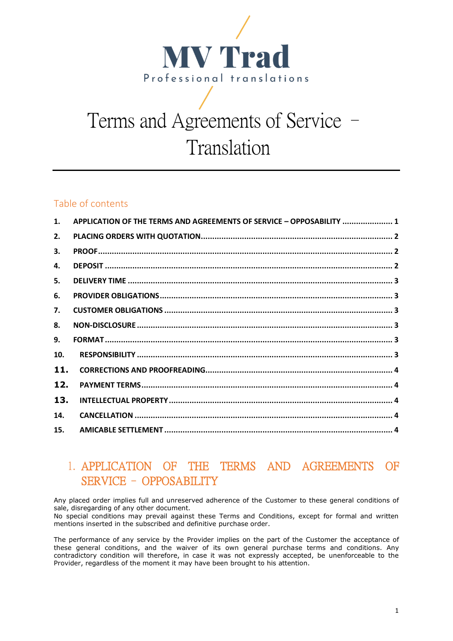

# Terms and Agreements of Service – Translation

#### Table of contents

| 1.  | APPLICATION OF THE TERMS AND AGREEMENTS OF SERVICE - OPPOSABILITY  1 |  |
|-----|----------------------------------------------------------------------|--|
| 2.  |                                                                      |  |
| 3.  |                                                                      |  |
| 4.  |                                                                      |  |
| 5.  |                                                                      |  |
| 6.  |                                                                      |  |
| 7.  |                                                                      |  |
| 8.  |                                                                      |  |
| 9.  |                                                                      |  |
| 10. |                                                                      |  |
| 11. |                                                                      |  |
| 12. |                                                                      |  |
| 13. |                                                                      |  |
| 14. |                                                                      |  |
| 15. |                                                                      |  |

# <span id="page-0-0"></span>1. APPLICATION OF THE TERMS AND AGREEMENTS OF SERVICE – OPPOSABILITY

Any placed order implies full and unreserved adherence of the Customer to these general conditions of sale, disregarding of any other document.

No special conditions may prevail against these Terms and Conditions, except for formal and written mentions inserted in the subscribed and definitive purchase order.

The performance of any service by the Provider implies on the part of the Customer the acceptance of these general conditions, and the waiver of its own general purchase terms and conditions. Any contradictory condition will therefore, in case it was not expressly accepted, be unenforceable to the Provider, regardless of the moment it may have been brought to his attention.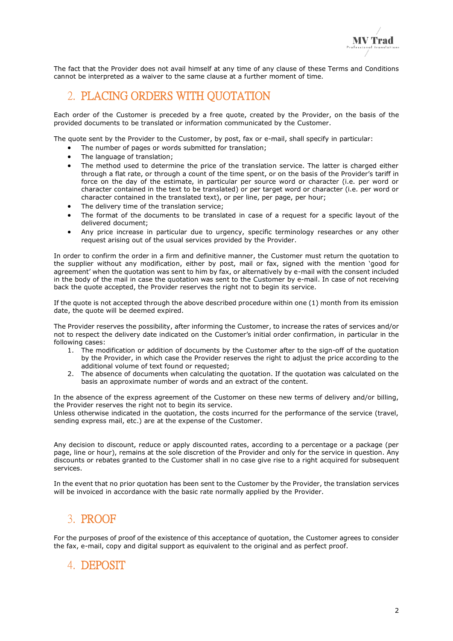The fact that the Provider does not avail himself at any time of any clause of these Terms and Conditions cannot be interpreted as a waiver to the same clause at a further moment of time.

## <span id="page-1-0"></span>2. PLACING ORDERS WITH QUOTATION

Each order of the Customer is preceded by a free quote, created by the Provider, on the basis of the provided documents to be translated or information communicated by the Customer.

The quote sent by the Provider to the Customer, by post, fax or e-mail, shall specify in particular:

- The number of pages or words submitted for translation:
- The language of translation:
- The method used to determine the price of the translation service. The latter is charged either through a flat rate, or through a count of the time spent, or on the basis of the Provider's tariff in force on the day of the estimate, in particular per source word or character (i.e. per word or character contained in the text to be translated) or per target word or character (i.e. per word or character contained in the translated text), or per line, per page, per hour;
- The delivery time of the translation service;
- The format of the documents to be translated in case of a request for a specific layout of the delivered document;
- Any price increase in particular due to urgency, specific terminology researches or any other request arising out of the usual services provided by the Provider.

In order to confirm the order in a firm and definitive manner, the Customer must return the quotation to the supplier without any modification, either by post, mail or fax, signed with the mention 'good for agreement' when the quotation was sent to him by fax, or alternatively by e-mail with the consent included in the body of the mail in case the quotation was sent to the Customer by e-mail. In case of not receiving back the quote accepted, the Provider reserves the right not to begin its service.

If the quote is not accepted through the above described procedure within one (1) month from its emission date, the quote will be deemed expired.

The Provider reserves the possibility, after informing the Customer, to increase the rates of services and/or not to respect the delivery date indicated on the Customer's initial order confirmation, in particular in the following cases:

- 1. The modification or addition of documents by the Customer after to the sign-off of the quotation by the Provider, in which case the Provider reserves the right to adjust the price according to the additional volume of text found or requested;
- 2. The absence of documents when calculating the quotation. If the quotation was calculated on the basis an approximate number of words and an extract of the content.

In the absence of the express agreement of the Customer on these new terms of delivery and/or billing, the Provider reserves the right not to begin its service.

Unless otherwise indicated in the quotation, the costs incurred for the performance of the service (travel, sending express mail, etc.) are at the expense of the Customer.

Any decision to discount, reduce or apply discounted rates, according to a percentage or a package (per page, line or hour), remains at the sole discretion of the Provider and only for the service in question. Any discounts or rebates granted to the Customer shall in no case give rise to a right acquired for subsequent services.

In the event that no prior quotation has been sent to the Customer by the Provider, the translation services will be invoiced in accordance with the basic rate normally applied by the Provider.

# <span id="page-1-1"></span>3. PROOF

For the purposes of proof of the existence of this acceptance of quotation, the Customer agrees to consider the fax, e-mail, copy and digital support as equivalent to the original and as perfect proof.

# <span id="page-1-2"></span>4. DEPOSIT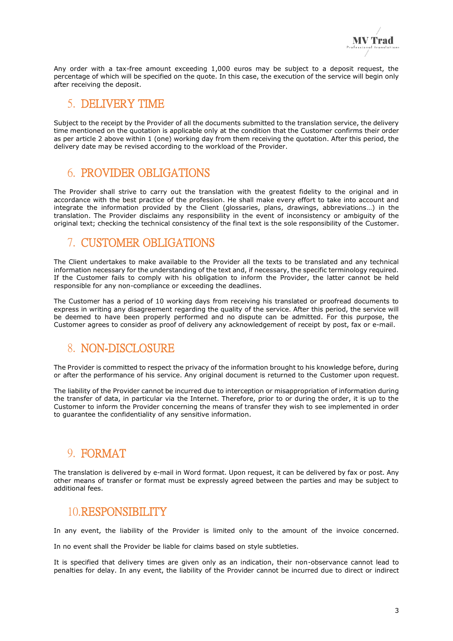Any order with a tax-free amount exceeding 1,000 euros may be subject to a deposit request, the percentage of which will be specified on the quote. In this case, the execution of the service will begin only after receiving the deposit.

#### <span id="page-2-0"></span>5. DELIVERY TIME

Subject to the receipt by the Provider of all the documents submitted to the translation service, the delivery time mentioned on the quotation is applicable only at the condition that the Customer confirms their order as per article 2 above within 1 (one) working day from them receiving the quotation. After this period, the delivery date may be revised according to the workload of the Provider.

## <span id="page-2-1"></span>6. PROVIDER OBLIGATIONS

The Provider shall strive to carry out the translation with the greatest fidelity to the original and in accordance with the best practice of the profession. He shall make every effort to take into account and integrate the information provided by the Client (glossaries, plans, drawings, abbreviations…) in the translation. The Provider disclaims any responsibility in the event of inconsistency or ambiguity of the original text; checking the technical consistency of the final text is the sole responsibility of the Customer.

## <span id="page-2-2"></span>7. CUSTOMER OBLIGATIONS

The Client undertakes to make available to the Provider all the texts to be translated and any technical information necessary for the understanding of the text and, if necessary, the specific terminology required. If the Customer fails to comply with his obligation to inform the Provider, the latter cannot be held responsible for any non-compliance or exceeding the deadlines.

The Customer has a period of 10 working days from receiving his translated or proofread documents to express in writing any disagreement regarding the quality of the service. After this period, the service will be deemed to have been properly performed and no dispute can be admitted. For this purpose, the Customer agrees to consider as proof of delivery any acknowledgement of receipt by post, fax or e-mail.

## <span id="page-2-3"></span>8. NON-DISCLOSURE

The Provider is committed to respect the privacy of the information brought to his knowledge before, during or after the performance of his service. Any original document is returned to the Customer upon request.

The liability of the Provider cannot be incurred due to interception or misappropriation of information during the transfer of data, in particular via the Internet. Therefore, prior to or during the order, it is up to the Customer to inform the Provider concerning the means of transfer they wish to see implemented in order to guarantee the confidentiality of any sensitive information.

## <span id="page-2-4"></span>9. FORMAT

The translation is delivered by e-mail in Word format. Upon request, it can be delivered by fax or post. Any other means of transfer or format must be expressly agreed between the parties and may be subject to additional fees.

## <span id="page-2-5"></span>10.RESPONSIBILITY

In any event, the liability of the Provider is limited only to the amount of the invoice concerned.

In no event shall the Provider be liable for claims based on style subtleties.

It is specified that delivery times are given only as an indication, their non-observance cannot lead to penalties for delay. In any event, the liability of the Provider cannot be incurred due to direct or indirect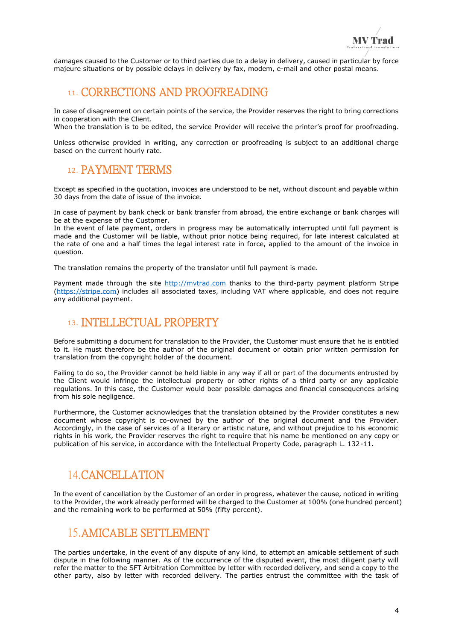damages caused to the Customer or to third parties due to a delay in delivery, caused in particular by force majeure situations or by possible delays in delivery by fax, modem, e-mail and other postal means.

#### <span id="page-3-0"></span>11. CORRECTIONS AND PROOFREADING

In case of disagreement on certain points of the service, the Provider reserves the right to bring corrections in cooperation with the Client.

When the translation is to be edited, the service Provider will receive the printer's proof for proofreading.

Unless otherwise provided in writing, any correction or proofreading is subject to an additional charge based on the current hourly rate.

#### <span id="page-3-1"></span>12. PAYMENT TERMS

Except as specified in the quotation, invoices are understood to be net, without discount and payable within 30 days from the date of issue of the invoice.

In case of payment by bank check or bank transfer from abroad, the entire exchange or bank charges will be at the expense of the Customer.

In the event of late payment, orders in progress may be automatically interrupted until full payment is made and the Customer will be liable, without prior notice being required, for late interest calculated at the rate of one and a half times the legal interest rate in force, applied to the amount of the invoice in question.

The translation remains the property of the translator until full payment is made.

Payment made through the site [http://mvtrad.com](http://www.mvtrad.fr/) thanks to the third-party payment platform Stripe [\(https://stripe.com\)](https://stripe.com/fr) includes all associated taxes, including VAT where applicable, and does not require any additional payment.

#### <span id="page-3-2"></span>13. INTELLECTUAL PROPERTY

Before submitting a document for translation to the Provider, the Customer must ensure that he is entitled to it. He must therefore be the author of the original document or obtain prior written permission for translation from the copyright holder of the document.

Failing to do so, the Provider cannot be held liable in any way if all or part of the documents entrusted by the Client would infringe the intellectual property or other rights of a third party or any applicable regulations. In this case, the Customer would bear possible damages and financial consequences arising from his sole negligence.

Furthermore, the Customer acknowledges that the translation obtained by the Provider constitutes a new document whose copyright is co-owned by the author of the original document and the Provider. Accordingly, in the case of services of a literary or artistic nature, and without prejudice to his economic rights in his work, the Provider reserves the right to require that his name be mentioned on any copy or publication of his service, in accordance with the Intellectual Property Code, paragraph L. 132-11.

## <span id="page-3-3"></span>14.CANCELLATION

In the event of cancellation by the Customer of an order in progress, whatever the cause, noticed in writing to the Provider, the work already performed will be charged to the Customer at 100% (one hundred percent) and the remaining work to be performed at 50% (fifty percent).

#### <span id="page-3-4"></span>15.AMICABLE SETTLEMENT

The parties undertake, in the event of any dispute of any kind, to attempt an amicable settlement of such dispute in the following manner. As of the occurrence of the disputed event, the most diligent party will refer the matter to the SFT Arbitration Committee by letter with recorded delivery, and send a copy to the other party, also by letter with recorded delivery. The parties entrust the committee with the task of